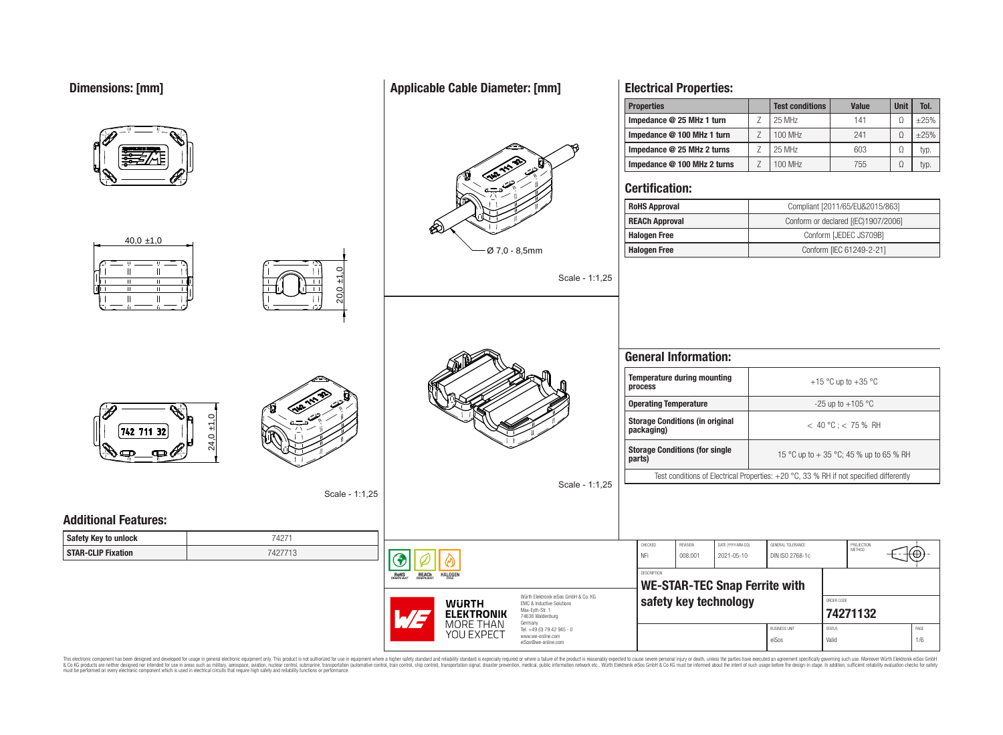## **Dimensions: [mm]**

|                             |                   |                                                                                   | Impedance @ 25 MHz 1 turn                                                              | 25 MHz<br>Ζ               | 141                                     | $\Omega$ | $\pm 25\%$ |
|-----------------------------|-------------------|-----------------------------------------------------------------------------------|----------------------------------------------------------------------------------------|---------------------------|-----------------------------------------|----------|------------|
|                             |                   |                                                                                   | Impedance @ 100 MHz 1 turn                                                             | 100 MHz<br>$\overline{Z}$ | 241                                     | $\Omega$ | $\pm 25\%$ |
|                             |                   |                                                                                   | Impedance @ 25 MHz 2 turns                                                             | 25 MHz<br>Z               | 603                                     | $\Omega$ | typ.       |
|                             |                   |                                                                                   | Impedance @ 100 MHz 2 turns                                                            | 100 MHz<br>Z              | 755                                     | $\Omega$ | typ.       |
|                             |                   |                                                                                   | <b>Certification:</b>                                                                  |                           |                                         |          |            |
|                             |                   |                                                                                   | <b>RoHS Approval</b>                                                                   |                           | Compliant [2011/65/EU&2015/863]         |          |            |
|                             |                   | ∞                                                                                 | <b>REACh Approval</b>                                                                  |                           | Conform or declared [(EC)1907/2006]     |          |            |
| $40,0 \pm 1,0$              |                   |                                                                                   | <b>Halogen Free</b>                                                                    |                           | Conform [JEDEC JS709B]                  |          |            |
|                             |                   | Ø 7,0 - 8,5mm                                                                     | <b>Halogen Free</b>                                                                    |                           | Conform [IEC 61249-2-21]                |          |            |
|                             | $\pm$ 1,0<br>20,0 | Scale - 1:1,25                                                                    |                                                                                        |                           |                                         |          |            |
|                             |                   |                                                                                   | <b>General Information:</b><br><b>Temperature during mounting</b>                      |                           |                                         |          |            |
|                             |                   |                                                                                   | process                                                                                |                           | +15 °C up to +35 °C                     |          |            |
|                             |                   |                                                                                   | <b>Operating Temperature</b>                                                           |                           | -25 up to +105 $^{\circ}$ C             |          |            |
| $\circ$<br>보<br>742 711 32  |                   |                                                                                   | <b>Storage Conditions (in original</b><br>packaging)                                   | $< 40 °C$ ; < 75 % RH     |                                         |          |            |
| 24,0                        |                   |                                                                                   | <b>Storage Conditions (for single</b><br>parts)                                        |                           | 15 °C up to + 35 °C; 45 % up to 65 % RH |          |            |
|                             |                   | Scale - 1:1,25                                                                    | Test conditions of Electrical Properties: +20 °C, 33 % RH if not specified differently |                           |                                         |          |            |
|                             | Scale - 1:1,25    |                                                                                   |                                                                                        |                           |                                         |          |            |
| <b>Additional Features:</b> |                   |                                                                                   |                                                                                        |                           |                                         |          |            |
| Safety Key to unlock        | 74271             |                                                                                   | CHECKED<br>DATE (YYYY-MM-DD)<br>REVISION                                               | GENERAL TOLERANCE         |                                         |          |            |
| <b>STAR-CLIP Fixation</b>   | 7427713           |                                                                                   | NFi<br>008.001<br>2021-05-10                                                           | DIN ISO 2768-1c           | PROJECTION<br>METHOD                    | €₩⊕      |            |
|                             |                   | ❤<br><b>REACh</b><br><b>HALOGEN</b>                                               | DESCRIPTION                                                                            |                           |                                         |          |            |
|                             |                   | <b>ROHS</b>                                                                       | <b>WE-STAR-TEC Snap Ferrite with</b>                                                   |                           |                                         |          |            |
|                             |                   | Würth Elektronik eiSos GmbH & Co. KG<br><b>WURTH</b><br>EMC & Inductive Solutions | safety key technology                                                                  |                           | ORDER CODE                              |          |            |
|                             |                   | Max-Eyth-Str. 1<br><b>ELEKTRONIK</b><br>74638 Waldenburg                          |                                                                                        |                           | 74271132                                |          |            |
|                             |                   | <b>MORE THAN</b><br>Germany<br>Tel. +49 (0) 79 42 945 - 0<br>YOU EXPECT           |                                                                                        | <b>BUSINESS UNIT</b>      | <b>STATUS</b>                           |          | PAGE       |
|                             |                   | www.we-online.com<br>eiSos@we-online.com                                          |                                                                                        | eiSos                     | Valid                                   |          | $1/6$      |

This electronic component has been designed and developed for usage in general electronic equipment only. This product is not authorized for subserved requipment where a higher selection equipment where a higher selection

# **Applicable Cable Diameter: [mm]**

**Electrical Properties:**

**Properties Test conditions Value Unit Tol.**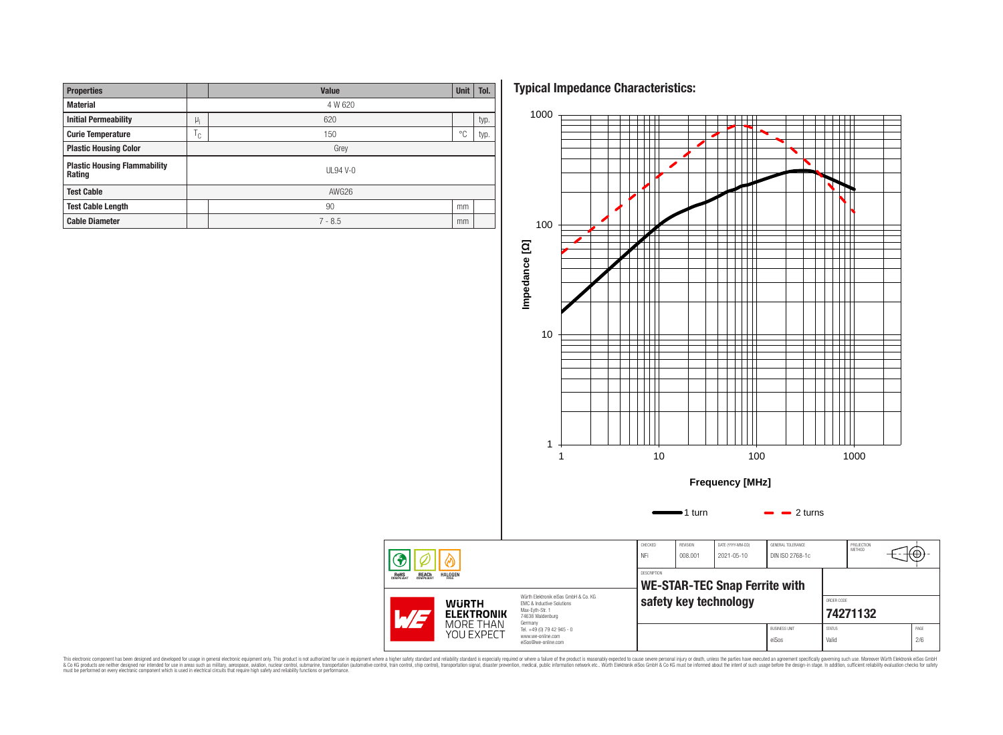| <b>Properties</b>                             | Value                  |           |    | Tol. |  |  |  |
|-----------------------------------------------|------------------------|-----------|----|------|--|--|--|
| <b>Material</b>                               | 4 W 620                |           |    |      |  |  |  |
| <b>Initial Permeability</b>                   | $\mu_i$                | 620       |    | typ. |  |  |  |
| <b>Curie Temperature</b>                      | $\top$<br>$\sim$<br>ι, | 150       |    |      |  |  |  |
| <b>Plastic Housing Color</b>                  | Grey                   |           |    |      |  |  |  |
| <b>Plastic Housing Flammability</b><br>Rating |                        | $UL94V-0$ |    |      |  |  |  |
| <b>Test Cable</b>                             | AWG26                  |           |    |      |  |  |  |
| <b>Test Cable Length</b>                      |                        | 90        |    |      |  |  |  |
| <b>Cable Diameter</b>                         |                        | $7 - 8.5$ | mm |      |  |  |  |

**Typical Impedance Characteristics:**



This electronic component has been designed and developed for usage in general electronic equipment only. This product is not authorized for subserved requipment where a higher selection equipment where a higher selection

◈ **ROHS**<br>COMPLIANT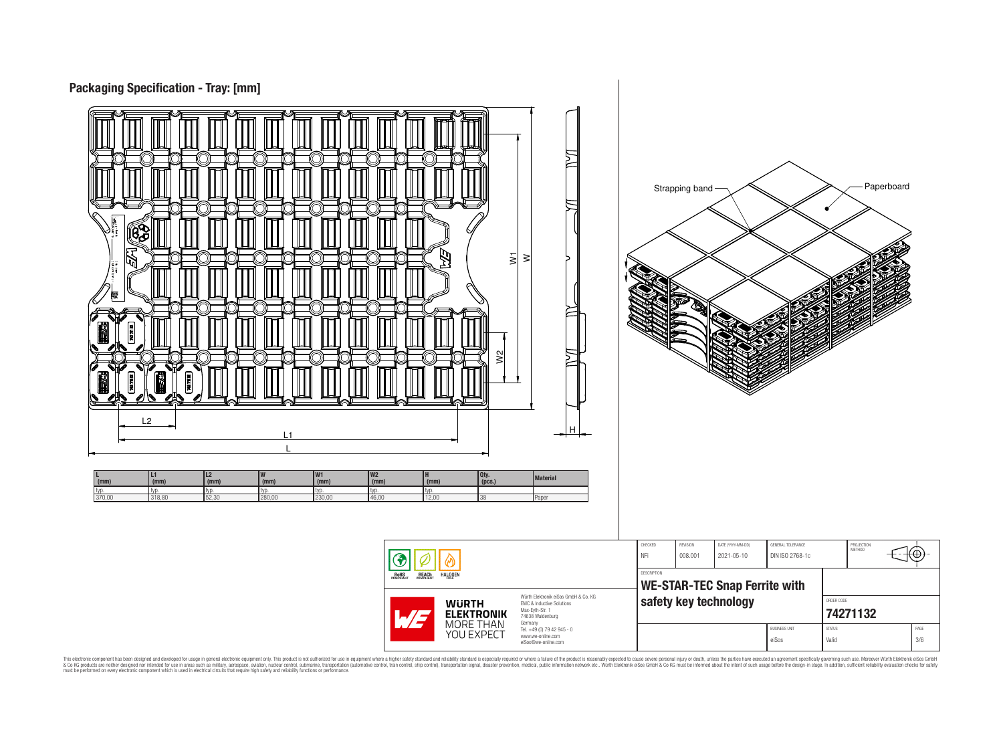



This electronic component has been designed and developed for usage in general electronic equipment only. This product is not authorized for subserved requipment where a higher selection equipment where a higher selection

eiSos@we-online.com

PROJECTION<br>METHOD

76

**[74271132](https://www.we-online.com/catalog/en/article/74271132)** BUSINESS UNIT STATUS STATUS PAGE eiSos Valid 3/6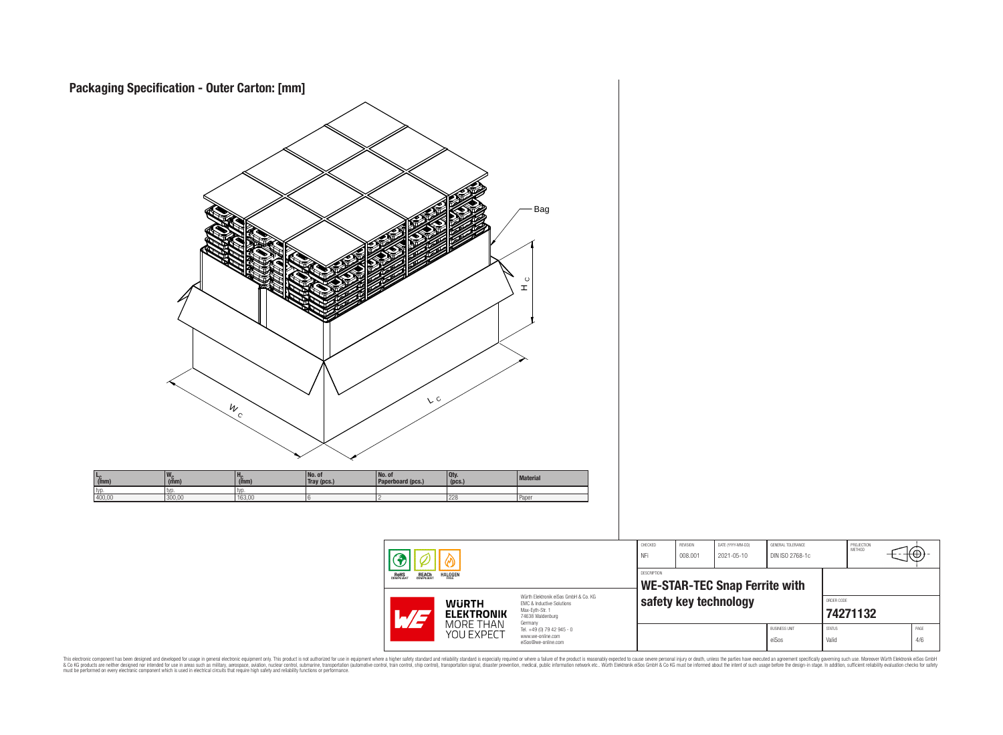

This electronic component has been designed and developed for usage in general electronic equipment only. This product is not authorized for subserved requipment where a higher selection equipment where a higher selection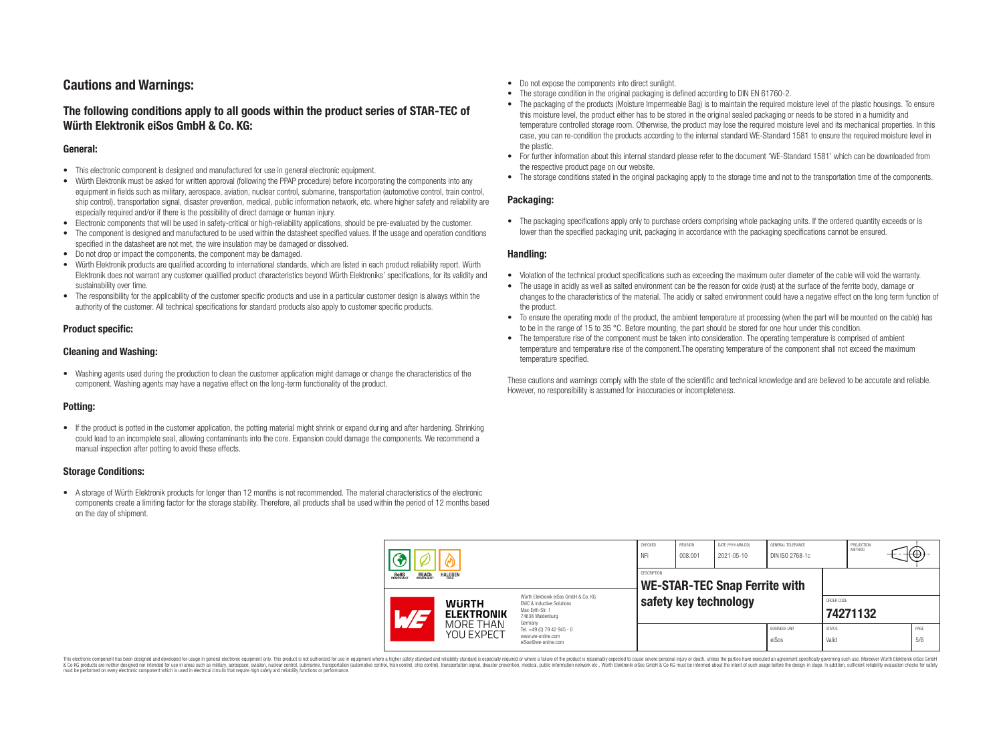# **Cautions and Warnings:**

## **The following conditions apply to all goods within the product series of STAR-TEC of Würth Elektronik eiSos GmbH & Co. KG:**

### **General:**

- This electronic component is designed and manufactured for use in general electronic equipment.
- Würth Elektronik must be asked for written approval (following the PPAP procedure) before incorporating the components into any equipment in fields such as military, aerospace, aviation, nuclear control, submarine, transportation (automotive control, train control, ship control), transportation signal, disaster prevention, medical, public information network, etc. where higher safety and reliability are especially required and/or if there is the possibility of direct damage or human injury.
- Electronic components that will be used in safety-critical or high-reliability applications, should be pre-evaluated by the customer.
- The component is designed and manufactured to be used within the datasheet specified values. If the usage and operation conditions specified in the datasheet are not met, the wire insulation may be damaged or dissolved.
- Do not drop or impact the components, the component may be damaged.
- Würth Elektronik products are qualified according to international standards, which are listed in each product reliability report. Würth Elektronik does not warrant any customer qualified product characteristics beyond Würth Elektroniks' specifications, for its validity and sustainability over time.
- The responsibility for the applicability of the customer specific products and use in a particular customer design is always within the authority of the customer. All technical specifications for standard products also apply to customer specific products.

## **Product specific:**

### **Cleaning and Washing:**

• Washing agents used during the production to clean the customer application might damage or change the characteristics of the component. Washing agents may have a negative effect on the long-term functionality of the product.

## **Potting:**

• If the product is potted in the customer application, the potting material might shrink or expand during and after hardening. Shrinking could lead to an incomplete seal, allowing contaminants into the core. Expansion could damage the components. We recommend a manual inspection after potting to avoid these effects.

### **Storage Conditions:**

• A storage of Würth Elektronik products for longer than 12 months is not recommended. The material characteristics of the electronic components create a limiting factor for the storage stability. Therefore, all products shall be used within the period of 12 months based on the day of shipment.

- Do not expose the components into direct sunlight.
- The storage condition in the original packaging is defined according to DIN EN 61760-2.
- The packaging of the products (Moisture Impermeable Bag) is to maintain the required moisture level of the plastic housings. To ensure this moisture level, the product either has to be stored in the original sealed packaging or needs to be stored in a humidity and temperature controlled storage room. Otherwise, the product may lose the required moisture level and its mechanical properties. In this case, you can re-condition the products according to the internal standard WE-Standard 1581 to ensure the required moisture level in the plastic.
- For further information about this internal standard please refer to the document 'WE-Standard 1581' which can be downloaded from the respective product page on our website.
- The storage conditions stated in the original packaging apply to the storage time and not to the transportation time of the components.

### **Packaging:**

• The packaging specifications apply only to purchase orders comprising whole packaging units. If the ordered quantity exceeds or is lower than the specified packaging unit, packaging in accordance with the packaging specifications cannot be ensured.

#### **Handling:**

- Violation of the technical product specifications such as exceeding the maximum outer diameter of the cable will void the warranty.
- The usage in acidly as well as salted environment can be the reason for oxide (rust) at the surface of the ferrite body, damage or changes to the characteristics of the material. The acidly or salted environment could have a negative effect on the long term function of the product.
- To ensure the operating mode of the product, the ambient temperature at processing (when the part will be mounted on the cable) has to be in the range of 15 to 35 °C. Before mounting, the part should be stored for one hour under this condition.
- The temperature rise of the component must be taken into consideration. The operating temperature is comprised of ambient temperature and temperature rise of the component.The operating temperature of the component shall not exceed the maximum temperature specified.

These cautions and warnings comply with the state of the scientific and technical knowledge and are believed to be accurate and reliable. However, no responsibility is assumed for inaccuracies or incompleteness.

| <b>ROHS</b><br>COMPLIANT<br><b>HALOGEN</b><br><b>REACH</b><br>COMPLIANT |                                   | CHECKED<br>NFi                                             | <b>REVISION</b><br>008.001                                                                                          | DATE (YYYY-MM-DD)<br>2021-05-10 | GENERAL TOLERANCE<br>DIN ISO 2768-1c |  | PROJECTION<br>METHOD          | ⊣त⊕⊁∹                  |  |             |
|-------------------------------------------------------------------------|-----------------------------------|------------------------------------------------------------|---------------------------------------------------------------------------------------------------------------------|---------------------------------|--------------------------------------|--|-------------------------------|------------------------|--|-------------|
|                                                                         |                                   | <b>DESCRIPTION</b><br><b>WE-STAR-TEC Snap Ferrite with</b> |                                                                                                                     |                                 |                                      |  |                               |                        |  |             |
|                                                                         | <b>WURTH</b><br><b>ELEKTRONIK</b> |                                                            | Würth Elektronik eiSos GmbH & Co. KG<br><b>EMC &amp; Inductive Solutions</b><br>Max-Evth-Str. 1<br>74638 Waldenburg | safety key technology           |                                      |  | ORDER CODE<br>74271132        |                        |  |             |
|                                                                         |                                   | MORE THAN<br>YOU EXPECT                                    | Germany<br>Tel. +49 (0) 79 42 945 - 0<br>www.we-online.com<br>eiSos@we-online.com                                   |                                 |                                      |  | <b>BUSINESS UNIT</b><br>eiSos | <b>STATUS</b><br>Valid |  | PAGE<br>5/6 |

This electronic component has been designed and developed for usage in general electronic equipment only. This product is not authorized for use in equipment where a higher safety standard and reliability standard si espec & Ook product a label and the membed of the seasuch as marked and as which such a membed and the such assume that income in the seasuch and the simulation and the such assume that include to the such a membed and the such